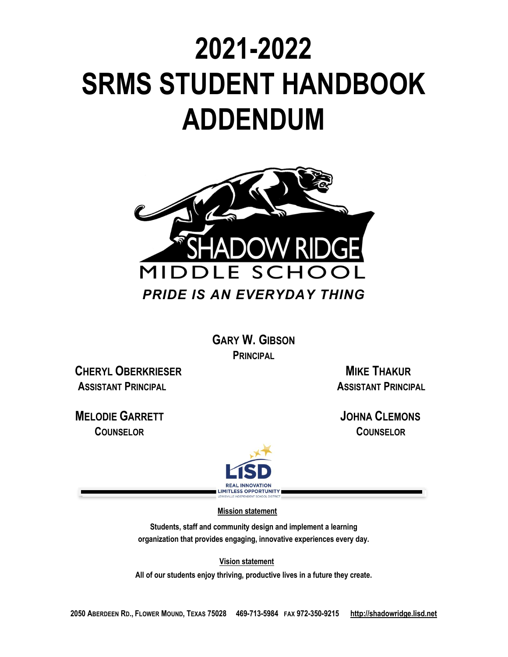# **2021-2022 SRMS STUDENT HANDBOOK ADDENDUM**



**GARY W. GIBSON PRINCIPAL**

**CHERYL OBERKRIESER MIKE THAKUR ASSISTANT PRINCIPAL ASSISTANT PRINCIPAL** 

 **MELODIE GARRETT JOHNA CLEMONS COUNSELOR COUNSELOR** 



 **Mission statement**

**Students, staff and community design and implement a learning organization that provides engaging, innovative experiences every day.**

 **Vision statement**

**All of our students enjoy thriving, productive lives in a future they create.**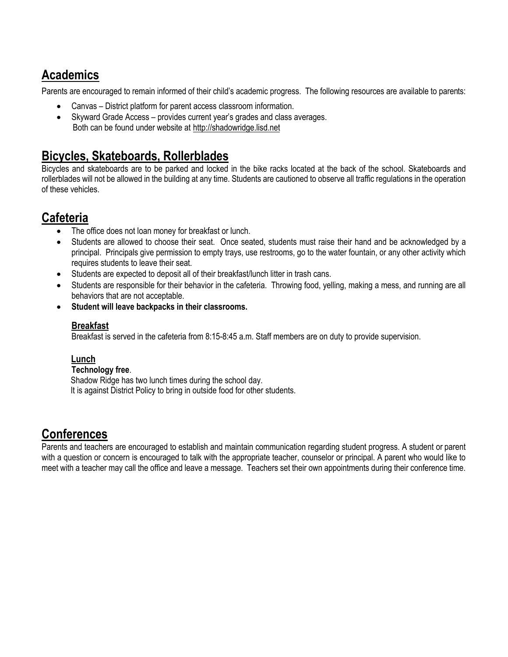## **Academics**

Parents are encouraged to remain informed of their child's academic progress. The following resources are available to parents:

- Canvas District platform for parent access classroom information.
- Skyward Grade Access provides current year's grades and class averages. Both can be found under website at http://shadowridge.lisd.net

## **Bicycles, Skateboards, Rollerblades**

Bicycles and skateboards are to be parked and locked in the bike racks located at the back of the school. Skateboards and rollerblades will not be allowed in the building at any time. Students are cautioned to observe all traffic regulations in the operation of these vehicles.

## **Cafeteria**

- The office does not loan money for breakfast or lunch.
- Students are allowed to choose their seat. Once seated, students must raise their hand and be acknowledged by a principal. Principals give permission to empty trays, use restrooms, go to the water fountain, or any other activity which requires students to leave their seat.
- Students are expected to deposit all of their breakfast/lunch litter in trash cans.
- Students are responsible for their behavior in the cafeteria. Throwing food, yelling, making a mess, and running are all behaviors that are not acceptable.
- **Student will leave backpacks in their classrooms.**

### **Breakfast**

Breakfast is served in the cafeteria from 8:15-8:45 a.m. Staff members are on duty to provide supervision.

#### **Lunch**

#### **Technology free**.

 Shadow Ridge has two lunch times during the school day. It is against District Policy to bring in outside food for other students.

# **Conferences**

Parents and teachers are encouraged to establish and maintain communication regarding student progress. A student or parent with a question or concern is encouraged to talk with the appropriate teacher, counselor or principal. A parent who would like to meet with a teacher may call the office and leave a message. Teachers set their own appointments during their conference time.